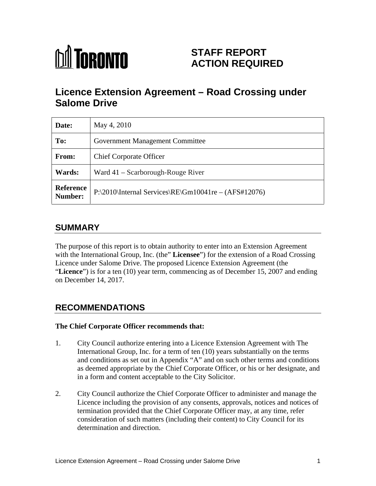# **MI TORONTO**

# **STAFF REPORT ACTION REQUIRED**

# **Licence Extension Agreement – Road Crossing under Salome Drive**

| Date:                | May 4, 2010                                                     |
|----------------------|-----------------------------------------------------------------|
| To:                  | <b>Government Management Committee</b>                          |
| From:                | Chief Corporate Officer                                         |
| <b>Wards:</b>        | Ward 41 - Scarborough-Rouge River                               |
| Reference<br>Number: | $\Gamma$   P:\2010\Internal Services\RE\Gm10041re – (AFS#12076) |

# **SUMMARY**

The purpose of this report is to obtain authority to enter into an Extension Agreement with the International Group, Inc. (the" **Licensee**") for the extension of a Road Crossing Licence under Salome Drive. The proposed Licence Extension Agreement (the "**Licence**") is for a ten (10) year term, commencing as of December 15, 2007 and ending on December 14, 2017.

# **RECOMMENDATIONS**

#### **The Chief Corporate Officer recommends that:**

- 1. City Council authorize entering into a Licence Extension Agreement with The International Group, Inc. for a term of ten (10) years substantially on the terms and conditions as set out in Appendix "A" and on such other terms and conditions as deemed appropriate by the Chief Corporate Officer, or his or her designate, and in a form and content acceptable to the City Solicitor.
- 2. City Council authorize the Chief Corporate Officer to administer and manage the Licence including the provision of any consents, approvals, notices and notices of termination provided that the Chief Corporate Officer may, at any time, refer consideration of such matters (including their content) to City Council for its determination and direction.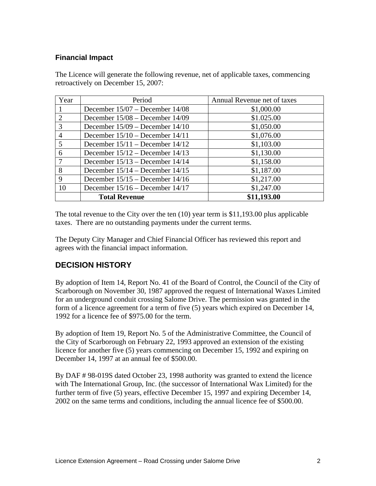#### **Financial Impact**

The Licence will generate the following revenue, net of applicable taxes, commencing retroactively on December 15, 2007:

| Year | Period                              | Annual Revenue net of taxes |
|------|-------------------------------------|-----------------------------|
|      | December $15/07$ – December $14/08$ | \$1,000.00                  |
|      | December $15/08$ – December $14/09$ | \$1.025.00                  |
|      | December $15/09$ – December $14/10$ | \$1,050.00                  |
|      | December $15/10$ – December $14/11$ | \$1,076.00                  |
|      | December $15/11$ – December $14/12$ | \$1,103.00                  |
|      | December $15/12$ – December $14/13$ | \$1,130.00                  |
|      | December $15/13$ – December $14/14$ | \$1,158.00                  |
| 8    | December $15/14$ – December $14/15$ | \$1,187.00                  |
|      | December $15/15$ – December $14/16$ | \$1,217.00                  |
| 10   | December $15/16$ – December $14/17$ | \$1,247.00                  |
|      | <b>Total Revenue</b>                | \$11,193.00                 |

The total revenue to the City over the ten (10) year term is \$11,193.00 plus applicable taxes. There are no outstanding payments under the current terms.

The Deputy City Manager and Chief Financial Officer has reviewed this report and agrees with the financial impact information.

## **DECISION HISTORY**

By adoption of Item 14, Report No. 41 of the Board of Control, the Council of the City of Scarborough on November 30, 1987 approved the request of International Waxes Limited for an underground conduit crossing Salome Drive. The permission was granted in the form of a licence agreement for a term of five (5) years which expired on December 14, 1992 for a licence fee of \$975.00 for the term.

By adoption of Item 19, Report No. 5 of the Administrative Committee, the Council of the City of Scarborough on February 22, 1993 approved an extension of the existing licence for another five (5) years commencing on December 15, 1992 and expiring on December 14, 1997 at an annual fee of \$500.00.

By DAF # 98-019S dated October 23, 1998 authority was granted to extend the licence with The International Group, Inc. (the successor of International Wax Limited) for the further term of five (5) years, effective December 15, 1997 and expiring December 14, 2002 on the same terms and conditions, including the annual licence fee of \$500.00.